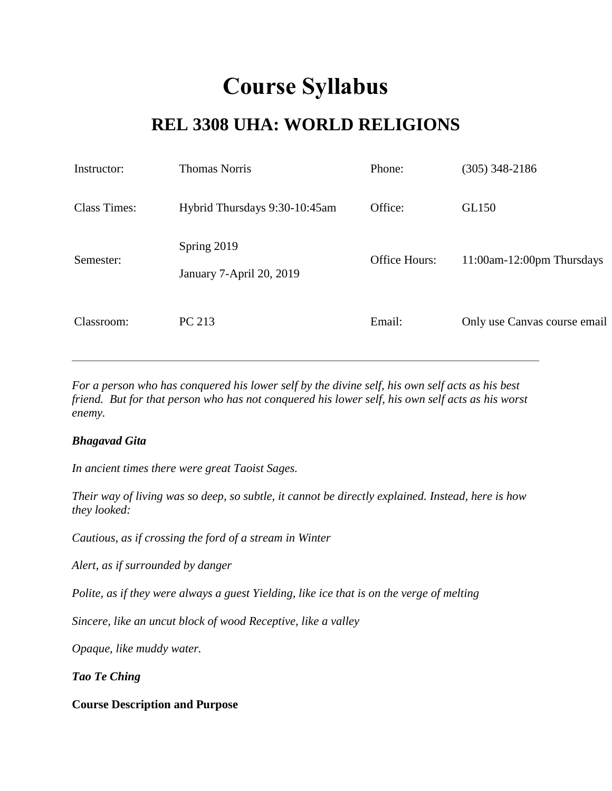# **Course Syllabus**

# **REL 3308 UHA: WORLD RELIGIONS**

| Instructor:         | <b>Thomas Norris</b>                    | Phone:        | $(305)$ 348-2186             |
|---------------------|-----------------------------------------|---------------|------------------------------|
| <b>Class Times:</b> | Hybrid Thursdays 9:30-10:45am           | Office:       | GL150                        |
| Semester:           | Spring 2019<br>January 7-April 20, 2019 | Office Hours: | 11:00am-12:00pm Thursdays    |
| Classroom:          | PC 213                                  | Email:        | Only use Canvas course email |

*For a person who has conquered his lower self by the divine self, his own self acts as his best friend. But for that person who has not conquered his lower self, his own self acts as his worst enemy.*

#### *Bhagavad Gita*

*In ancient times there were great Taoist Sages.* 

*Their way of living was so deep, so subtle, it cannot be directly explained. Instead, here is how they looked:* 

*Cautious, as if crossing the ford of a stream in Winter* 

*Alert, as if surrounded by danger* 

*Polite, as if they were always a guest Yielding, like ice that is on the verge of melting* 

*Sincere, like an uncut block of wood Receptive, like a valley* 

*Opaque, like muddy water.* 

*Tao Te Ching* 

**Course Description and Purpose**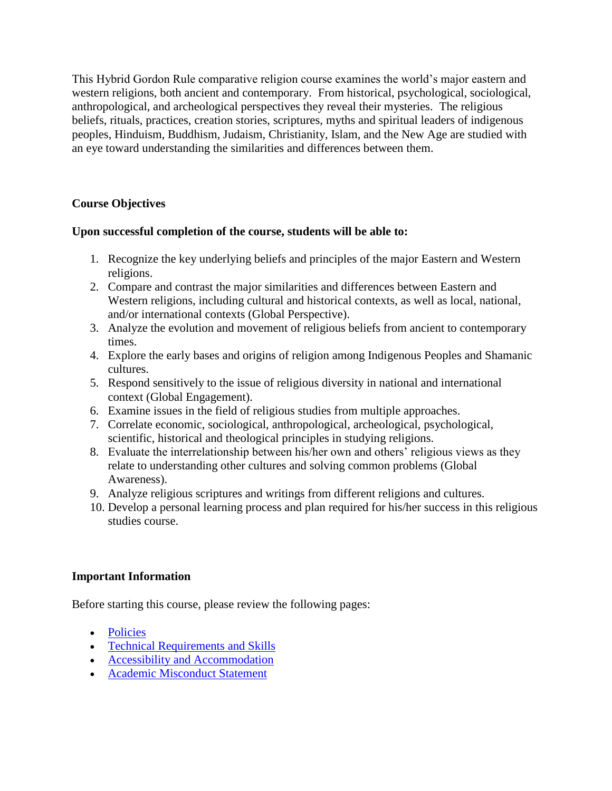This Hybrid Gordon Rule comparative religion course examines the world's major eastern and western religions, both ancient and contemporary. From historical, psychological, sociological, anthropological, and archeological perspectives they reveal their mysteries. The religious beliefs, rituals, practices, creation stories, scriptures, myths and spiritual leaders of indigenous peoples, Hinduism, Buddhism, Judaism, Christianity, Islam, and the New Age are studied with an eye toward understanding the similarities and differences between them.

# **Course Objectives**

# **Upon successful completion of the course, students will be able to:**

- 1. Recognize the key underlying beliefs and principles of the major Eastern and Western religions.
- 2. Compare and contrast the major similarities and differences between Eastern and Western religions, including cultural and historical contexts, as well as local, national, and/or international contexts (Global Perspective).
- 3. Analyze the evolution and movement of religious beliefs from ancient to contemporary times.
- 4. Explore the early bases and origins of religion among Indigenous Peoples and Shamanic cultures.
- 5. Respond sensitively to the issue of religious diversity in national and international context (Global Engagement).
- 6. Examine issues in the field of religious studies from multiple approaches.
- 7. Correlate economic, sociological, anthropological, archeological, psychological, scientific, historical and theological principles in studying religions.
- 8. Evaluate the interrelationship between his/her own and others' religious views as they relate to understanding other cultures and solving common problems (Global Awareness).
- 9. Analyze religious scriptures and writings from different religions and cultures.
- 10. Develop a personal learning process and plan required for his/her success in this religious studies course.

# **Important Information**

Before starting this course, please review the following pages:

- [Policies](https://fiu.instructure.com/courses/32772/pages/policies)
- [Technical Requirements and Skills](https://fiu.instructure.com/courses/32772/pages/technical-requirements-and-skills)
- [Accessibility and Accommodation](https://fiu.instructure.com/courses/32772/pages/accessibility-and-accommodation)
- [Academic Misconduct Statement](https://fiu.instructure.com/courses/32772/pages/academic-misconduct-statement)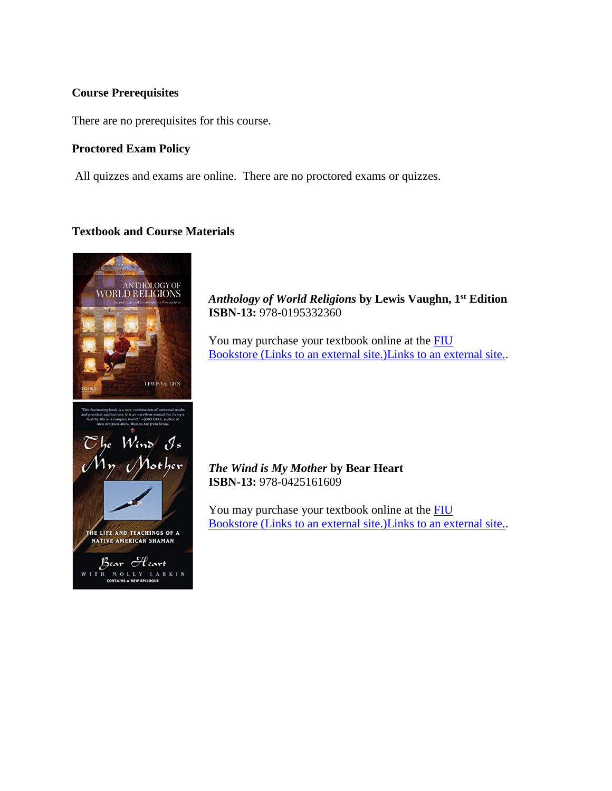#### **Course Prerequisites**

There are no prerequisites for this course.

#### **Proctored Exam Policy**

All quizzes and exams are online. There are no proctored exams or quizzes.

# **Textbook and Course Materials**



*Anthology of World Religions* **by Lewis Vaughn, 1st Edition ISBN-13:** 978-0195332360

You may purchase your textbook online at the **FIU** Bookstore [\(Links to an external site.\)Links to an external site..](http://fiu.bncollege.com/webapp/wcs/stores/servlet/BNCBHomePage?storeId=21551&catalogId=10001)

*The Wind is My Mother* **by Bear Heart ISBN-13:** 978-0425161609

You may purchase your textbook online at the [FIU](http://fiu.bncollege.com/webapp/wcs/stores/servlet/BNCBHomePage?storeId=21551&catalogId=10001)  Bookstore [\(Links to an external site.\)Links to an external site..](http://fiu.bncollege.com/webapp/wcs/stores/servlet/BNCBHomePage?storeId=21551&catalogId=10001)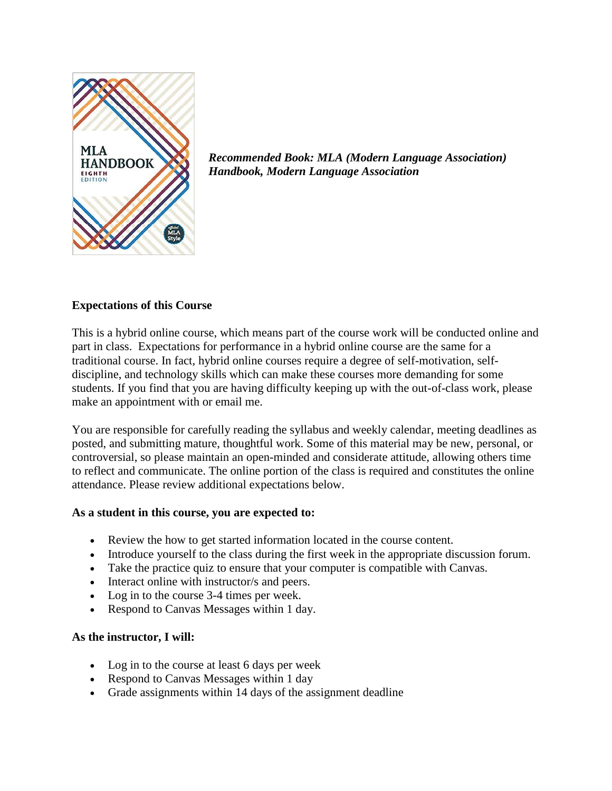

*Recommended Book: MLA (Modern Language Association) Handbook, Modern Language Association* 

# **Expectations of this Course**

This is a hybrid online course, which means part of the course work will be conducted online and part in class. Expectations for performance in a hybrid online course are the same for a traditional course. In fact, hybrid online courses require a degree of self-motivation, selfdiscipline, and technology skills which can make these courses more demanding for some students. If you find that you are having difficulty keeping up with the out-of-class work, please make an appointment with or email me.

You are responsible for carefully reading the syllabus and weekly calendar, meeting deadlines as posted, and submitting mature, thoughtful work. Some of this material may be new, personal, or controversial, so please maintain an open-minded and considerate attitude, allowing others time to reflect and communicate. The online portion of the class is required and constitutes the online attendance. Please review additional expectations below.

#### **As a student in this course, you are expected to:**

- Review the how to get started information located in the course content.
- Introduce yourself to the class during the first week in the appropriate discussion forum.
- Take the practice quiz to ensure that your computer is compatible with Canvas.
- Interact online with instructor/s and peers.
- Log in to the course 3-4 times per week.
- Respond to Canvas Messages within 1 day.

#### **As the instructor, I will:**

- Log in to the course at least 6 days per week
- Respond to Canvas Messages within 1 day
- Grade assignments within 14 days of the assignment deadline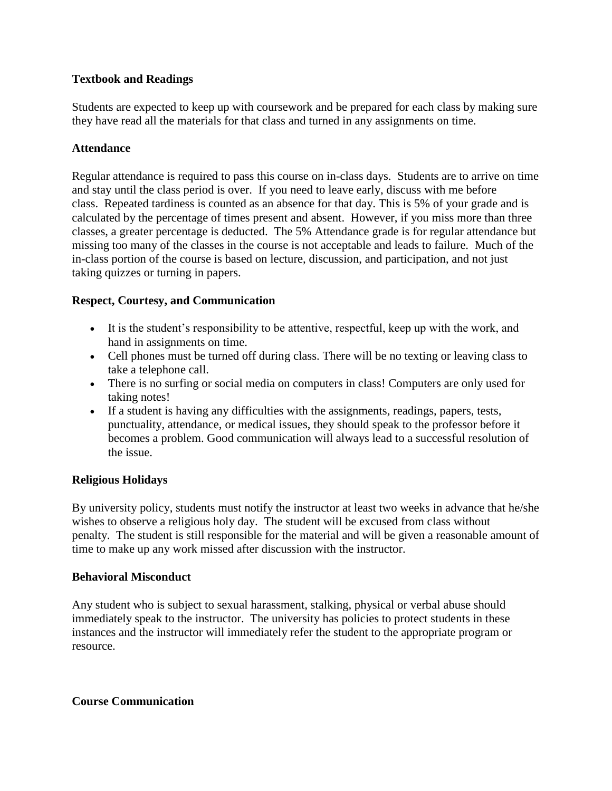# **Textbook and Readings**

Students are expected to keep up with coursework and be prepared for each class by making sure they have read all the materials for that class and turned in any assignments on time.

# **Attendance**

Regular attendance is required to pass this course on in-class days. Students are to arrive on time and stay until the class period is over. If you need to leave early, discuss with me before class. Repeated tardiness is counted as an absence for that day. This is 5% of your grade and is calculated by the percentage of times present and absent. However, if you miss more than three classes, a greater percentage is deducted. The 5% Attendance grade is for regular attendance but missing too many of the classes in the course is not acceptable and leads to failure. Much of the in-class portion of the course is based on lecture, discussion, and participation, and not just taking quizzes or turning in papers.

# **Respect, Courtesy, and Communication**

- It is the student's responsibility to be attentive, respectful, keep up with the work, and hand in assignments on time.
- Cell phones must be turned off during class. There will be no texting or leaving class to take a telephone call.
- There is no surfing or social media on computers in class! Computers are only used for taking notes!
- If a student is having any difficulties with the assignments, readings, papers, tests, punctuality, attendance, or medical issues, they should speak to the professor before it becomes a problem. Good communication will always lead to a successful resolution of the issue.

#### **Religious Holidays**

By university policy, students must notify the instructor at least two weeks in advance that he/she wishes to observe a religious holy day. The student will be excused from class without penalty. The student is still responsible for the material and will be given a reasonable amount of time to make up any work missed after discussion with the instructor.

#### **Behavioral Misconduct**

Any student who is subject to sexual harassment, stalking, physical or verbal abuse should immediately speak to the instructor. The university has policies to protect students in these instances and the instructor will immediately refer the student to the appropriate program or resource.

#### **Course Communication**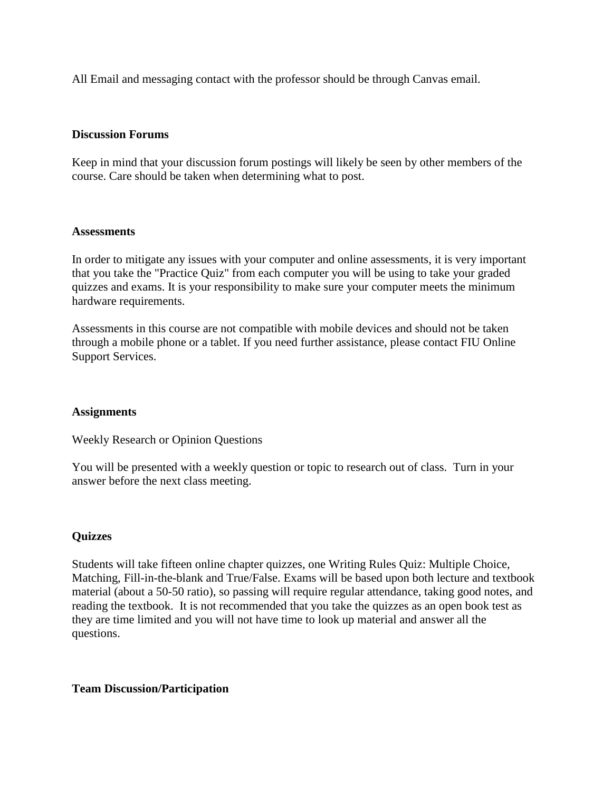All Email and messaging contact with the professor should be through Canvas email.

#### **Discussion Forums**

Keep in mind that your discussion forum postings will likely be seen by other members of the course. Care should be taken when determining what to post.

#### **Assessments**

In order to mitigate any issues with your computer and online assessments, it is very important that you take the "Practice Quiz" from each computer you will be using to take your graded quizzes and exams. It is your responsibility to make sure your computer meets the minimum hardware requirements.

Assessments in this course are not compatible with mobile devices and should not be taken through a mobile phone or a tablet. If you need further assistance, please contact FIU Online Support Services.

#### **Assignments**

Weekly Research or Opinion Questions

You will be presented with a weekly question or topic to research out of class. Turn in your answer before the next class meeting.

#### **Quizzes**

Students will take fifteen online chapter quizzes, one Writing Rules Quiz: Multiple Choice, Matching, Fill-in-the-blank and True/False. Exams will be based upon both lecture and textbook material (about a 50-50 ratio), so passing will require regular attendance, taking good notes, and reading the textbook. It is not recommended that you take the quizzes as an open book test as they are time limited and you will not have time to look up material and answer all the questions.

#### **Team Discussion/Participation**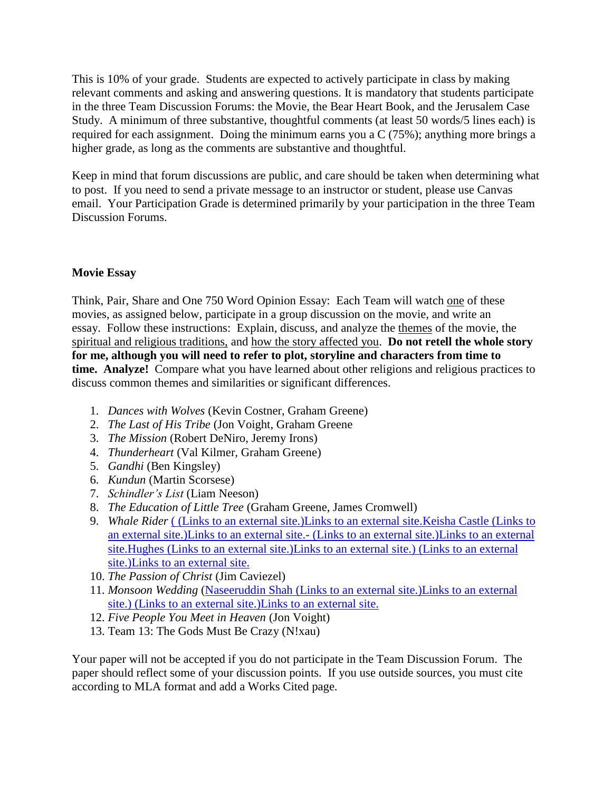This is 10% of your grade. Students are expected to actively participate in class by making relevant comments and asking and answering questions. It is mandatory that students participate in the three Team Discussion Forums: the Movie, the Bear Heart Book, and the Jerusalem Case Study. A minimum of three substantive, thoughtful comments (at least 50 words/5 lines each) is required for each assignment. Doing the minimum earns you a C (75%); anything more brings a higher grade, as long as the comments are substantive and thoughtful.

Keep in mind that forum discussions are public, and care should be taken when determining what to post. If you need to send a private message to an instructor or student, please use Canvas email. Your Participation Grade is determined primarily by your participation in the three Team Discussion Forums.

# **Movie Essay**

Think, Pair, Share and One 750 Word Opinion Essay: Each Team will watch one of these movies, as assigned below, participate in a group discussion on the movie, and write an essay. Follow these instructions: Explain, discuss, and analyze the themes of the movie, the spiritual and religious traditions, and how the story affected you. **Do not retell the whole story for me, although you will need to refer to plot, storyline and characters from time to time. Analyze!** Compare what you have learned about other religions and religious practices to discuss common themes and similarities or significant differences.

- 1. *Dances with Wolves* (Kevin Costner, Graham Greene)
- 2. *The Last of His Tribe* (Jon Voight, Graham Greene
- 3. *The Mission* (Robert DeNiro, Jeremy Irons)
- 4. *Thunderheart* (Val Kilmer, Graham Greene)
- 5. *Gandhi* (Ben Kingsley)
- 6. *Kundun* (Martin Scorsese)
- 7. *Schindler's List* (Liam Neeson)
- 8. *The Education of Little Tree* (Graham Greene, James Cromwell)
- 9. *Whale Rider* ( [\(Links to an external site.\)Links to an external site.Keisha Castle](http://www.amazon.com/gp/imdb/actor/nm1095720/ref=imdbfl_a_0/102-3384692-7678515) (Links to [an external site.\)Links to an external site.-](http://www.amazon.com/gp/imdb/actor/nm1095720/ref=imdbfl_a_0/102-3384692-7678515) [\(Links to an external site.\)Links to an external](http://www.amazon.com/gp/imdb/actor/nm1095720/ref=imdbfl_a_0/102-3384692-7678515)  [site.H](http://www.amazon.com/gp/imdb/actor/nm1095720/ref=imdbfl_a_0/102-3384692-7678515)ughes [\(Links to an external site.\)Links to an external site.\)](http://www.amazon.com/gp/imdb/actor/nm1095720/ref=imdbfl_a_0/102-3384692-7678515) (Links to an external [site.\)Links to an external site.](http://www.amazon.com/gp/imdb/actor/nm1095720/ref=imdbfl_a_0/102-3384692-7678515)
- 10. *The Passion of Christ* (Jim Caviezel)
- 11. *Monsoon Wedding* (Naseeruddin Shah [\(Links to an external site.\)Links to an external](http://www.imdb.com/name/nm0787462/)  [site.\)](http://www.imdb.com/name/nm0787462/) [\(Links to an external site.\)Links to an external site.](http://www.imdb.com/name/nm0787462/)
- 12. *Five People You Meet in Heaven* (Jon Voight)
- 13. Team 13: The Gods Must Be Crazy (N!xau)

Your paper will not be accepted if you do not participate in the Team Discussion Forum. The paper should reflect some of your discussion points. If you use outside sources, you must cite according to MLA format and add a Works Cited page.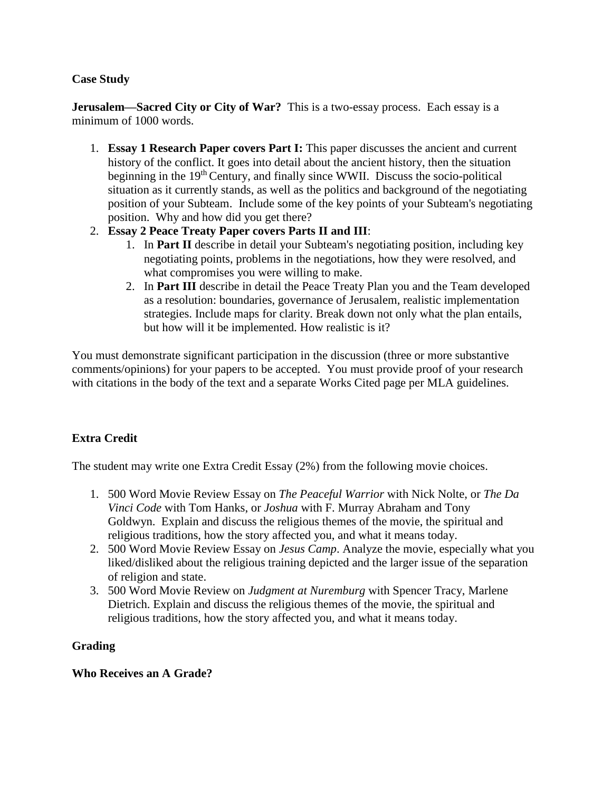# **Case Study**

**Jerusalem—Sacred City or City of War?** This is a two-essay process. Each essay is a minimum of 1000 words.

- 1. **Essay 1 Research Paper covers Part I:** This paper discusses the ancient and current history of the conflict. It goes into detail about the ancient history, then the situation beginning in the 19<sup>th</sup> Century, and finally since WWII. Discuss the socio-political situation as it currently stands, as well as the politics and background of the negotiating position of your Subteam. Include some of the key points of your Subteam's negotiating position. Why and how did you get there?
- 2. **Essay 2 Peace Treaty Paper covers Parts II and III**:
	- 1. In **Part II** describe in detail your Subteam's negotiating position, including key negotiating points, problems in the negotiations, how they were resolved, and what compromises you were willing to make.
	- 2. In **Part III** describe in detail the Peace Treaty Plan you and the Team developed as a resolution: boundaries, governance of Jerusalem, realistic implementation strategies. Include maps for clarity. Break down not only what the plan entails, but how will it be implemented. How realistic is it?

You must demonstrate significant participation in the discussion (three or more substantive comments/opinions) for your papers to be accepted. You must provide proof of your research with citations in the body of the text and a separate Works Cited page per MLA guidelines.

# **Extra Credit**

The student may write one Extra Credit Essay (2%) from the following movie choices.

- 1. 500 Word Movie Review Essay on *The Peaceful Warrior* with Nick Nolte, or *The Da Vinci Code* with Tom Hanks, or *Joshua* with F. Murray Abraham and Tony Goldwyn. Explain and discuss the religious themes of the movie, the spiritual and religious traditions, how the story affected you, and what it means today.
- 2. 500 Word Movie Review Essay on *Jesus Camp*. Analyze the movie, especially what you liked/disliked about the religious training depicted and the larger issue of the separation of religion and state.
- 3. 500 Word Movie Review on *Judgment at Nuremburg* with Spencer Tracy, Marlene Dietrich. Explain and discuss the religious themes of the movie, the spiritual and religious traditions, how the story affected you, and what it means today.

# **Grading**

# **Who Receives an A Grade?**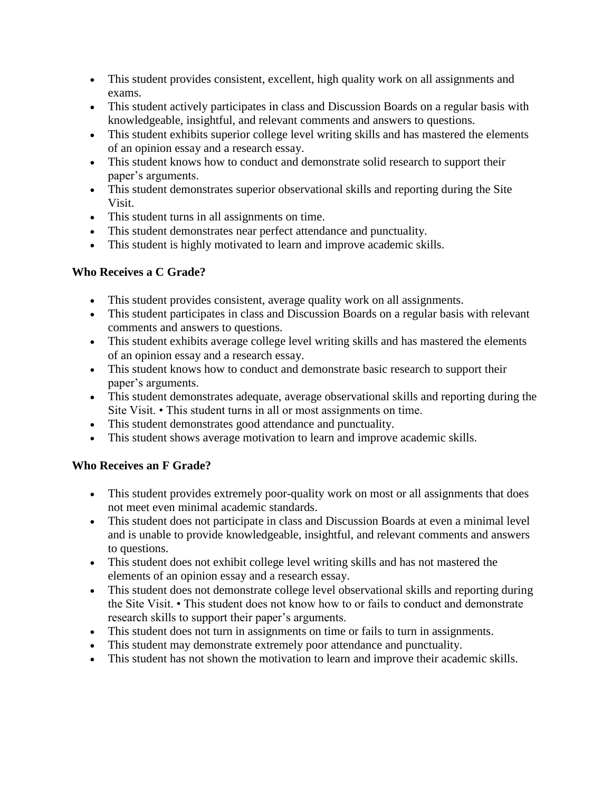- This student provides consistent, excellent, high quality work on all assignments and exams.
- This student actively participates in class and Discussion Boards on a regular basis with knowledgeable, insightful, and relevant comments and answers to questions.
- This student exhibits superior college level writing skills and has mastered the elements of an opinion essay and a research essay.
- This student knows how to conduct and demonstrate solid research to support their paper's arguments.
- This student demonstrates superior observational skills and reporting during the Site Visit.
- This student turns in all assignments on time.
- This student demonstrates near perfect attendance and punctuality.
- This student is highly motivated to learn and improve academic skills.

# **Who Receives a C Grade?**

- This student provides consistent, average quality work on all assignments.
- This student participates in class and Discussion Boards on a regular basis with relevant comments and answers to questions.
- This student exhibits average college level writing skills and has mastered the elements of an opinion essay and a research essay.
- This student knows how to conduct and demonstrate basic research to support their paper's arguments.
- This student demonstrates adequate, average observational skills and reporting during the Site Visit. • This student turns in all or most assignments on time.
- This student demonstrates good attendance and punctuality.
- This student shows average motivation to learn and improve academic skills.

# **Who Receives an F Grade?**

- This student provides extremely poor-quality work on most or all assignments that does not meet even minimal academic standards.
- This student does not participate in class and Discussion Boards at even a minimal level and is unable to provide knowledgeable, insightful, and relevant comments and answers to questions.
- This student does not exhibit college level writing skills and has not mastered the elements of an opinion essay and a research essay.
- This student does not demonstrate college level observational skills and reporting during the Site Visit. • This student does not know how to or fails to conduct and demonstrate research skills to support their paper's arguments.
- This student does not turn in assignments on time or fails to turn in assignments.
- This student may demonstrate extremely poor attendance and punctuality.
- This student has not shown the motivation to learn and improve their academic skills.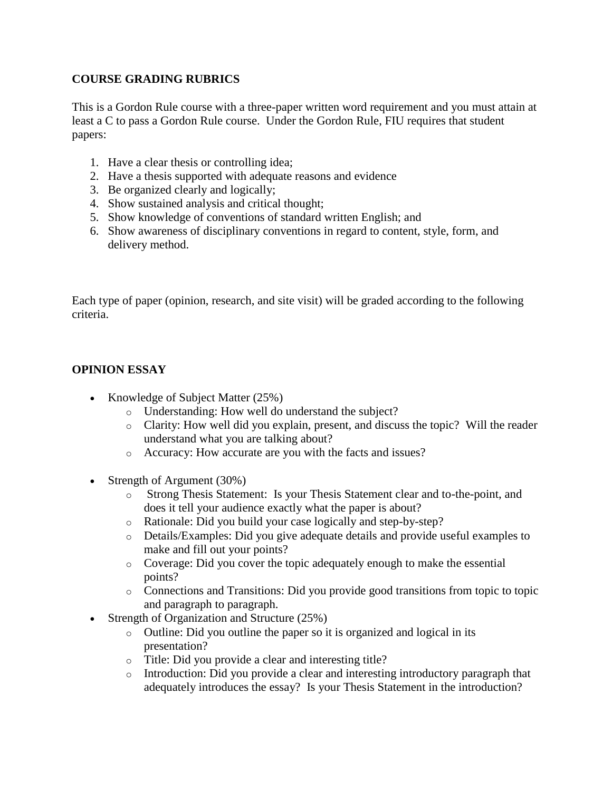# **COURSE GRADING RUBRICS**

This is a Gordon Rule course with a three-paper written word requirement and you must attain at least a C to pass a Gordon Rule course. Under the Gordon Rule, FIU requires that student papers:

- 1. Have a clear thesis or controlling idea;
- 2. Have a thesis supported with adequate reasons and evidence
- 3. Be organized clearly and logically;
- 4. Show sustained analysis and critical thought;
- 5. Show knowledge of conventions of standard written English; and
- 6. Show awareness of disciplinary conventions in regard to content, style, form, and delivery method.

Each type of paper (opinion, research, and site visit) will be graded according to the following criteria.

# **OPINION ESSAY**

- Knowledge of Subject Matter (25%)
	- o Understanding: How well do understand the subject?
	- $\circ$  Clarity: How well did you explain, present, and discuss the topic? Will the reader understand what you are talking about?
	- o Accuracy: How accurate are you with the facts and issues?
- Strength of Argument (30%)
	- o Strong Thesis Statement: Is your Thesis Statement clear and to-the-point, and does it tell your audience exactly what the paper is about?
	- o Rationale: Did you build your case logically and step-by-step?
	- o Details/Examples: Did you give adequate details and provide useful examples to make and fill out your points?
	- o Coverage: Did you cover the topic adequately enough to make the essential points?
	- o Connections and Transitions: Did you provide good transitions from topic to topic and paragraph to paragraph.
- Strength of Organization and Structure (25%)
	- o Outline: Did you outline the paper so it is organized and logical in its presentation?
	- o Title: Did you provide a clear and interesting title?
	- o Introduction: Did you provide a clear and interesting introductory paragraph that adequately introduces the essay? Is your Thesis Statement in the introduction?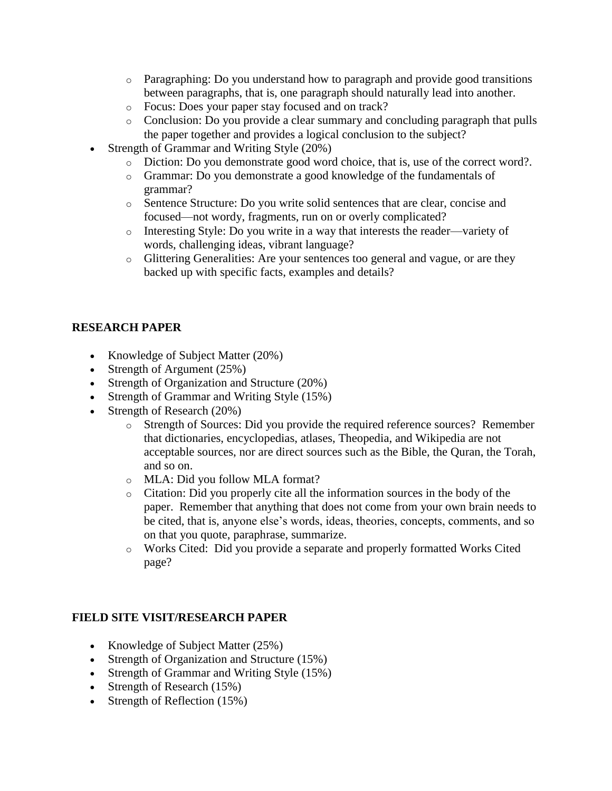- $\circ$  Paragraphing: Do you understand how to paragraph and provide good transitions between paragraphs, that is, one paragraph should naturally lead into another.
- o Focus: Does your paper stay focused and on track?
- o Conclusion: Do you provide a clear summary and concluding paragraph that pulls the paper together and provides a logical conclusion to the subject?
- Strength of Grammar and Writing Style (20%)
	- o Diction: Do you demonstrate good word choice, that is, use of the correct word?.
	- o Grammar: Do you demonstrate a good knowledge of the fundamentals of grammar?
	- o Sentence Structure: Do you write solid sentences that are clear, concise and focused—not wordy, fragments, run on or overly complicated?
	- o Interesting Style: Do you write in a way that interests the reader—variety of words, challenging ideas, vibrant language?
	- o Glittering Generalities: Are your sentences too general and vague, or are they backed up with specific facts, examples and details?

# **RESEARCH PAPER**

- Knowledge of Subject Matter (20%)
- Strength of Argument (25%)
- Strength of Organization and Structure (20%)
- Strength of Grammar and Writing Style (15%)
- Strength of Research (20%)
	- o Strength of Sources: Did you provide the required reference sources? Remember that dictionaries, encyclopedias, atlases, Theopedia, and Wikipedia are not acceptable sources, nor are direct sources such as the Bible, the Quran, the Torah, and so on.
	- o MLA: Did you follow MLA format?
	- o Citation: Did you properly cite all the information sources in the body of the paper. Remember that anything that does not come from your own brain needs to be cited, that is, anyone else's words, ideas, theories, concepts, comments, and so on that you quote, paraphrase, summarize.
	- o Works Cited: Did you provide a separate and properly formatted Works Cited page?

# **FIELD SITE VISIT/RESEARCH PAPER**

- Knowledge of Subject Matter (25%)
- Strength of Organization and Structure (15%)
- Strength of Grammar and Writing Style (15%)
- Strength of Research (15%)
- Strength of Reflection (15%)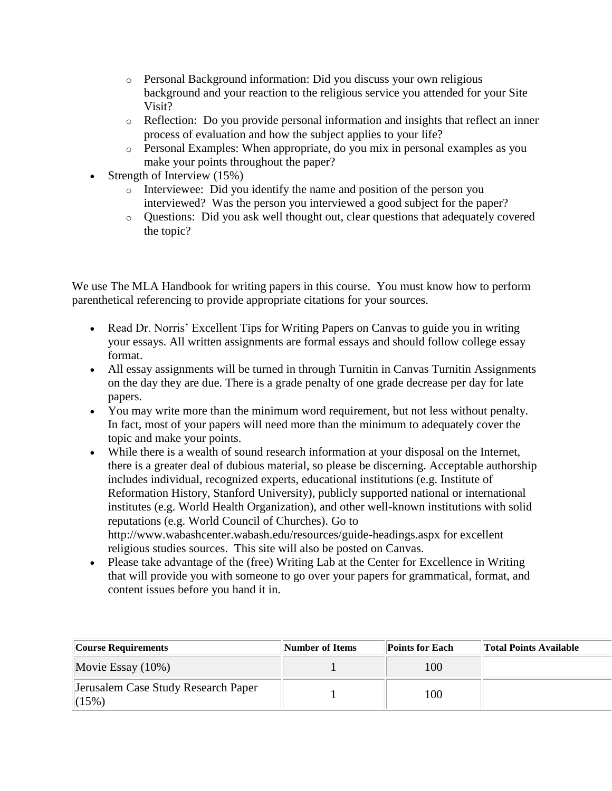- o Personal Background information: Did you discuss your own religious background and your reaction to the religious service you attended for your Site Visit?
- o Reflection: Do you provide personal information and insights that reflect an inner process of evaluation and how the subject applies to your life?
- o Personal Examples: When appropriate, do you mix in personal examples as you make your points throughout the paper?
- Strength of Interview (15%)
	- o Interviewee: Did you identify the name and position of the person you interviewed? Was the person you interviewed a good subject for the paper?
	- o Questions: Did you ask well thought out, clear questions that adequately covered the topic?

We use The MLA Handbook for writing papers in this course. You must know how to perform parenthetical referencing to provide appropriate citations for your sources.

- Read Dr. Norris' Excellent Tips for Writing Papers on Canvas to guide you in writing your essays. All written assignments are formal essays and should follow college essay format.
- All essay assignments will be turned in through Turnitin in Canvas Turnitin Assignments on the day they are due. There is a grade penalty of one grade decrease per day for late papers.
- You may write more than the minimum word requirement, but not less without penalty. In fact, most of your papers will need more than the minimum to adequately cover the topic and make your points.
- While there is a wealth of sound research information at your disposal on the Internet, there is a greater deal of dubious material, so please be discerning. Acceptable authorship includes individual, recognized experts, educational institutions (e.g. Institute of Reformation History, Stanford University), publicly supported national or international institutes (e.g. World Health Organization), and other well-known institutions with solid reputations (e.g. World Council of Churches). Go to http://www.wabashcenter.wabash.edu/resources/guide-headings.aspx for excellent religious studies sources. This site will also be posted on Canvas.
- Please take advantage of the (free) Writing Lab at the Center for Excellence in Writing that will provide you with someone to go over your papers for grammatical, format, and content issues before you hand it in.

| Course Requirements                          | Number of Items | <b>Points for Each</b> | <b>Total Points Available</b> |
|----------------------------------------------|-----------------|------------------------|-------------------------------|
| Movie Essay $(10\%)$                         |                 | 100                    |                               |
| Jerusalem Case Study Research Paper<br>(15%) |                 | 100                    |                               |